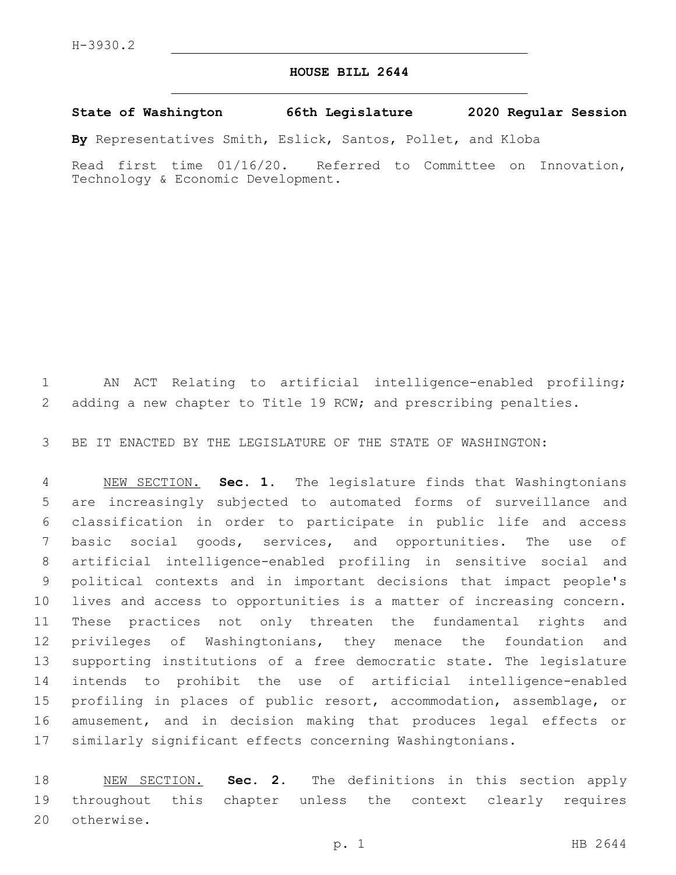## **HOUSE BILL 2644**

## **State of Washington 66th Legislature 2020 Regular Session**

**By** Representatives Smith, Eslick, Santos, Pollet, and Kloba

Read first time 01/16/20. Referred to Committee on Innovation, Technology & Economic Development.

 AN ACT Relating to artificial intelligence-enabled profiling; adding a new chapter to Title 19 RCW; and prescribing penalties.

BE IT ENACTED BY THE LEGISLATURE OF THE STATE OF WASHINGTON:

 NEW SECTION. **Sec. 1.** The legislature finds that Washingtonians are increasingly subjected to automated forms of surveillance and classification in order to participate in public life and access basic social goods, services, and opportunities. The use of artificial intelligence-enabled profiling in sensitive social and political contexts and in important decisions that impact people's lives and access to opportunities is a matter of increasing concern. These practices not only threaten the fundamental rights and privileges of Washingtonians, they menace the foundation and supporting institutions of a free democratic state. The legislature intends to prohibit the use of artificial intelligence-enabled profiling in places of public resort, accommodation, assemblage, or amusement, and in decision making that produces legal effects or similarly significant effects concerning Washingtonians.

 NEW SECTION. **Sec. 2.** The definitions in this section apply throughout this chapter unless the context clearly requires otherwise.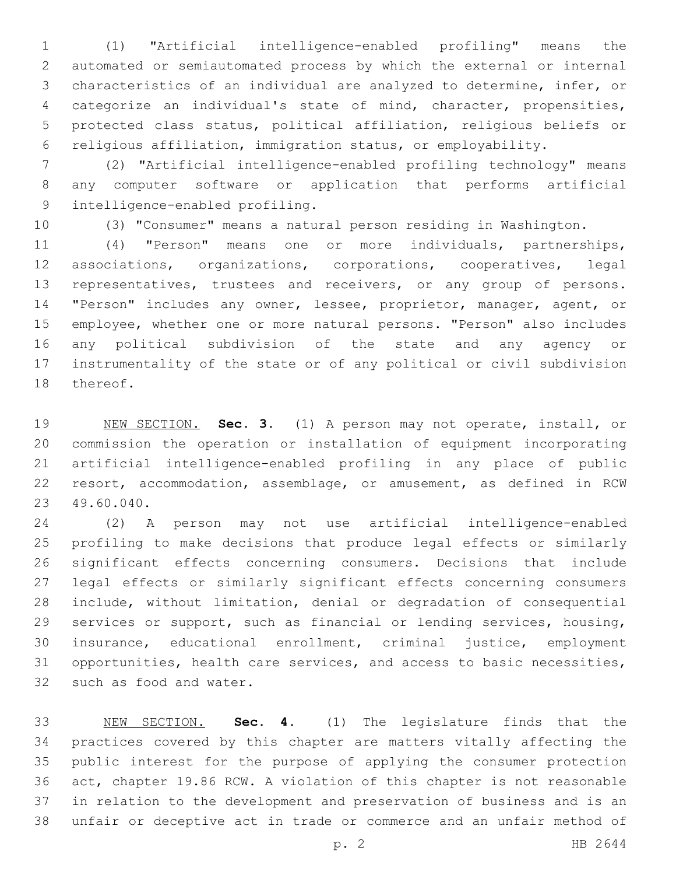(1) "Artificial intelligence-enabled profiling" means the automated or semiautomated process by which the external or internal characteristics of an individual are analyzed to determine, infer, or categorize an individual's state of mind, character, propensities, protected class status, political affiliation, religious beliefs or religious affiliation, immigration status, or employability.

 (2) "Artificial intelligence-enabled profiling technology" means any computer software or application that performs artificial 9 intelligence-enabled profiling.

(3) "Consumer" means a natural person residing in Washington.

 (4) "Person" means one or more individuals, partnerships, associations, organizations, corporations, cooperatives, legal 13 representatives, trustees and receivers, or any group of persons. "Person" includes any owner, lessee, proprietor, manager, agent, or employee, whether one or more natural persons. "Person" also includes any political subdivision of the state and any agency or instrumentality of the state or of any political or civil subdivision 18 thereof.

 NEW SECTION. **Sec. 3.** (1) A person may not operate, install, or commission the operation or installation of equipment incorporating artificial intelligence-enabled profiling in any place of public resort, accommodation, assemblage, or amusement, as defined in RCW 49.60.040.

 (2) A person may not use artificial intelligence-enabled profiling to make decisions that produce legal effects or similarly significant effects concerning consumers. Decisions that include legal effects or similarly significant effects concerning consumers include, without limitation, denial or degradation of consequential services or support, such as financial or lending services, housing, insurance, educational enrollment, criminal justice, employment opportunities, health care services, and access to basic necessities, 32 such as food and water.

 NEW SECTION. **Sec. 4.** (1) The legislature finds that the practices covered by this chapter are matters vitally affecting the public interest for the purpose of applying the consumer protection act, chapter 19.86 RCW. A violation of this chapter is not reasonable in relation to the development and preservation of business and is an unfair or deceptive act in trade or commerce and an unfair method of